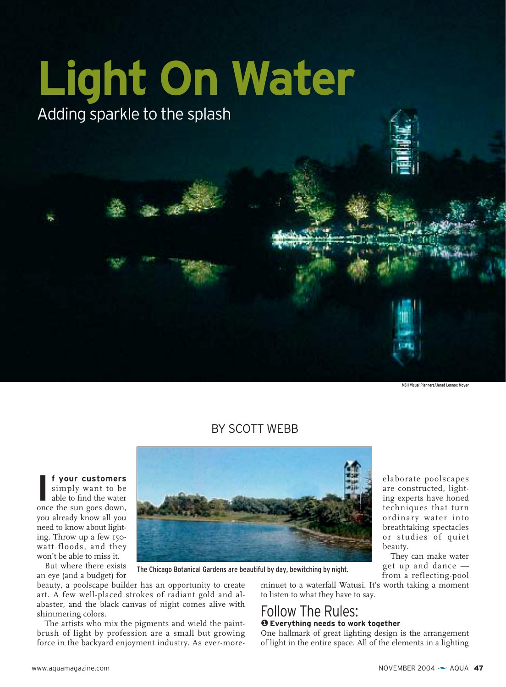

MSH Visual Planners/Janet Lennox Moyer

### BY SCOTT WEBB

**f your customers**

**I f your customers**<br>simply want to be<br>able to find the water<br>once the sun goes down, simply want to be able to find the water you already know all you need to know about lighting. Throw up a few 150 watt floods, and they won't be able to miss it.

But where there exists an eye (and a budget) for

beauty, a poolscape builder has an opportunity to create art. A few well-placed strokes of radiant gold and alabaster, and the black canvas of night comes alive with shimmering colors.

The artists who mix the pigments and wield the paintbrush of light by profession are a small but growing force in the backyard enjoyment industry. As ever-more-

The Chicago Botanical Gardens are beautiful by day, bewitching by night.

minuet to a waterfall Watusi. It's worth taking a moment to listen to what they have to say.

### Follow The Rules: ❶ **Everything needs to work together**

One hallmark of great lighting design is the arrangement of light in the entire space. All of the elements in a lighting

elaborate poolscapes are constructed, lighting experts have honed techniques that turn ordinary water into breathtaking spectacles or studies of quiet beauty.

They can make water get up and dance from a reflecting-pool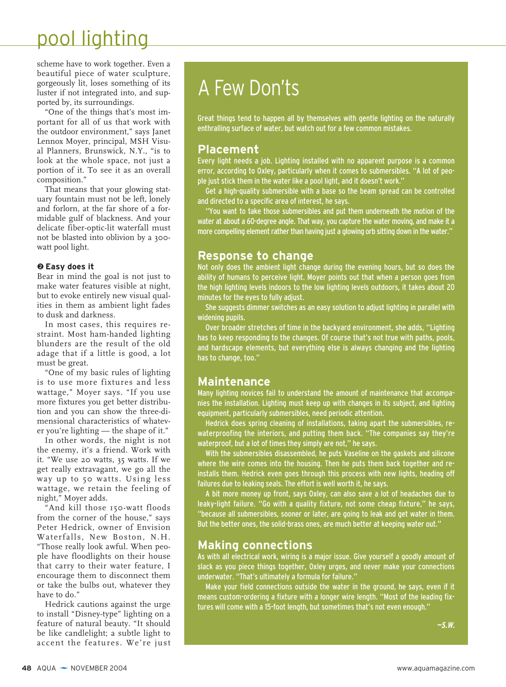scheme have to work together. Even a beautiful piece of water sculpture, gorgeously lit, loses something of its luster if not integrated into, and supported by, its surroundings.

"One of the things that's most important for all of us that work with the outdoor environment," says Janet Lennox Moyer, principal, MSH Visual Planners, Brunswick, N.Y., "is to look at the whole space, not just a portion of it. To see it as an overall composition."

That means that your glowing statuary fountain must not be left, lonely and forlorn, at the far shore of a formidable gulf of blackness. And your delicate fiber-optic-lit waterfall must not be blasted into oblivion by a 300 watt pool light.

#### ❷ **Easy does it**

Bear in mind the goal is not just to make water features visible at night, but to evoke entirely new visual qualities in them as ambient light fades to dusk and darkness.

In most cases, this requires restraint. Most ham-handed lighting blunders are the result of the old adage that if a little is good, a lot must be great.

"One of my basic rules of lighting is to use more fixtures and less wattage," Moyer says. "If you use more fixtures you get better distribution and you can show the three-dimensional characteristics of whatever you're lighting — the shape of it."

In other words, the night is not the enemy, it's a friend. Work with it. "We use 20 watts, 35 watts. If we get really extravagant, we go all the way up to 50 watts. Using less wattage, we retain the feeling of night," Moyer adds.

"And kill those 150-watt floods from the corner of the house," says Peter Hedrick, owner of Envision Waterfalls, New Boston, N.H. "Those really look awful. When people have floodlights on their house that carry to their water feature, I encourage them to disconnect them or take the bulbs out, whatever they have to do."

Hedrick cautions against the urge to install "Disney-type" lighting on a feature of natural beauty. "It should be like candlelight; a subtle light to accent the features. We're just

# A Few Don'ts

Great things tend to happen all by themselves with gentle lighting on the naturally enthralling surface of water, but watch out for a few common mistakes.

### **Placement**

Every light needs a job. Lighting installed with no apparent purpose is a common error, according to Oxley, particularly when it comes to submersibles. "A lot of people just stick them in the water like a pool light, and it doesn't work."

Get a high-quality submersible with a base so the beam spread can be controlled and directed to a specific area of interest, he says.

"You want to take those submersibles and put them underneath the motion of the water at about a 60-degree angle. That way, you capture the water moving, and make it a more compelling element rather than having just a glowing orb sitting down in the water."

### **Response to change**

Not only does the ambient light change during the evening hours, but so does the ability of humans to perceive light. Moyer points out that when a person goes from the high lighting levels indoors to the low lighting levels outdoors, it takes about 20 minutes for the eyes to fully adjust.

She suggests dimmer switches as an easy solution to adjust lighting in parallel with widening pupils.

Over broader stretches of time in the backyard environment, she adds, "Lighting has to keep responding to the changes. Of course that's not true with paths, pools, and hardscape elements, but everything else is always changing and the lighting has to change, too."

### **Maintenance**

Many lighting novices fail to understand the amount of maintenance that accompanies the installation. Lighting must keep up with changes in its subject, and lighting equipment, particularly submersibles, need periodic attention.

Hedrick does spring cleaning of installations, taking apart the submersibles, rewaterproofing the interiors, and putting them back. "The companies say they're waterproof, but a lot of times they simply are not," he says.

With the submersibles disassembled, he puts Vaseline on the gaskets and silicone where the wire comes into the housing. Then he puts them back together and reinstalls them. Hedrick even goes through this process with new lights, heading off failures due to leaking seals. The effort is well worth it, he says.

A bit more money up front, says Oxley, can also save a lot of headaches due to leaky-light failure. "Go with a quality fixture, not some cheap fixture," he says, "because all submersibles, sooner or later, are going to leak and get water in them. But the better ones, the solid-brass ones, are much better at keeping water out."

### **Making connections**

As with all electrical work, wiring is a major issue. Give yourself a goodly amount of slack as you piece things together, Oxley urges, and never make your connections underwater. "That's ultimately a formula for failure."

Make your field connections outside the water in the ground, he says, even if it means custom-ordering a fixture with a longer wire length. "Most of the leading fixtures will come with a 15-foot length, but sometimes that's not even enough."

**—S.W.**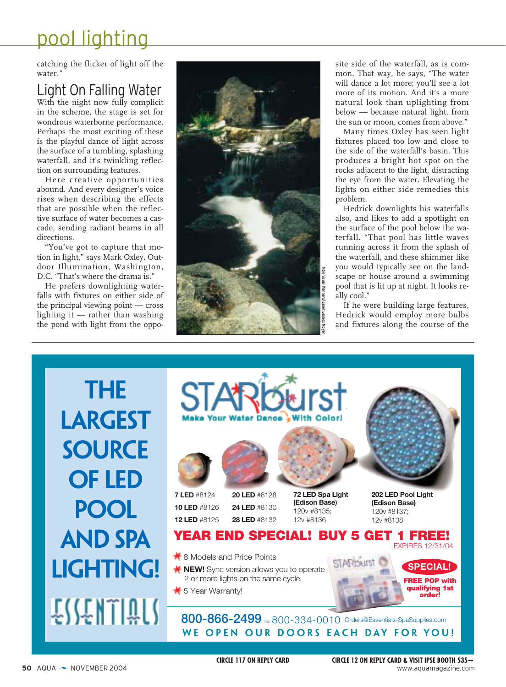catching the flicker of light off the water."

### Light On Falling Water

With the night now fully complicit in the scheme, the stage is set for wondrous waterborne performance. Perhaps the most exciting of these is the playful dance of light across the surface of a tumbling, splashing waterfall, and it's twinkling reflection on surrounding features.

Here creative opportunities abound. And every designer's voice rises when describing the effects that are possible when the reflective surface of water becomes a cascade, sending radiant beams in all directions.

"You've got to capture that motion in light," says Mark Oxley, Outdoor Illumination, Washington, D.C. "That's where the drama is."

He prefers downlighting waterfalls with fixtures on either side of the principal viewing point — cross lighting it — rather than washing the pond with light from the oppo-



site side of the waterfall, as is common. That way, he says, "The water will dance a lot more; you'll see a lot more of its motion. And it's a more natural look than uplighting from below — because natural light, from the sun or moon, comes from above."

Many times Oxley has seen light fixtures placed too low and close to the side of the waterfall's basin. This produces a bright hot spot on the rocks adjacent to the light, distracting the eye from the water. Elevating the lights on either side remedies this problem.

Hedrick downlights his waterfalls also, and likes to add a spotlight on the surface of the pool below the waterfall. "That pool has little waves running across it from the splash of the waterfall, and these shimmer like you would typically see on the landscape or house around a swimming pool that is lit up at night. It looks really cool."

If he were building large features, Hedrick would employ more bulbs and fixtures along the course of the

**the LARGEST Source OF LED POOL AND SPA LIGHTING!** ESSENTIQUS



 $\frac{1}{2}$  8 Models and Price Points

- **K NEW!** Sync version allows you to operate 2 or more lights on the same cycle.
- $\frac{1}{\sqrt{2}}$  5 Year Warranty!

**800-866-2499** Fx: 800-334-0010 Orders@Essentials-SpaSupplies.com **We Open Our Doors Each Day for You!**

**FREE POP with qualifying 1st order!**

**SPECIAL!**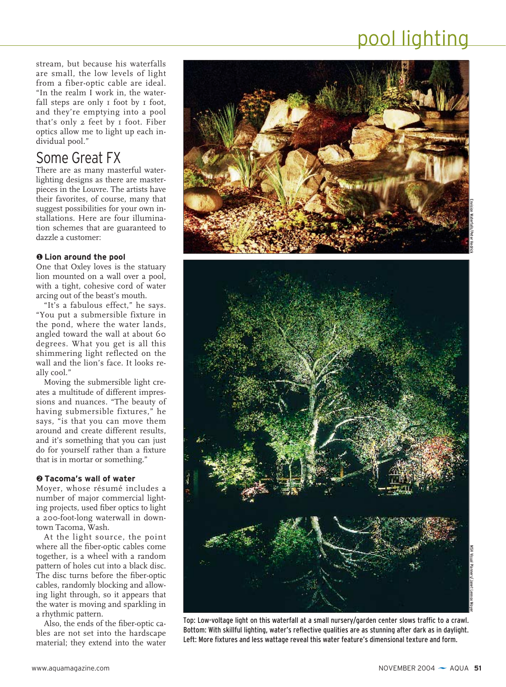stream, but because his waterfalls are small, the low levels of light from a fiber-optic cable are ideal. "In the realm I work in, the waterfall steps are only I foot by I foot, and they're emptying into a pool that's only 2 feet by 1 foot. Fiber optics allow me to light up each individual pool."

### Some Great FX

There are as many masterful waterlighting designs as there are masterpieces in the Louvre. The artists have their favorites, of course, many that suggest possibilities for your own installations. Here are four illumination schemes that are guaranteed to dazzle a customer:

### ❶ **Lion around the pool**

One that Oxley loves is the statuary lion mounted on a wall over a pool, with a tight, cohesive cord of water arcing out of the beast's mouth.

"It's a fabulous effect," he says. "You put a submersible fixture in the pond, where the water lands, angled toward the wall at about 60 degrees. What you get is all this shimmering light reflected on the wall and the lion's face. It looks really cool."

Moving the submersible light creates a multitude of different impressions and nuances. "The beauty of having submersible fixtures," he says, "is that you can move them around and create different results, and it's something that you can just do for yourself rather than a fixture that is in mortar or something."

#### ❷ **Tacoma's wall of water**

Moyer, whose résumé includes a number of major commercial lighting projects, used fiber optics to light a 200-foot-long waterwall in downtown Tacoma, Wash.

At the light source, the point where all the fiber-optic cables come together, is a wheel with a random pattern of holes cut into a black disc. The disc turns before the fiber-optic cables, randomly blocking and allowing light through, so it appears that the water is moving and sparkling in a rhythmic pattern.

Also, the ends of the fiber-optic cables are not set into the hardscape material; they extend into the water



Top: Low-voltage light on this waterfall at a small nursery/garden center slows traffic to a crawl. Bottom: With skillful lighting, water's reflective qualities are as stunning after dark as in daylight. Left: More fixtures and less wattage reveal this water feature's dimensional texture and form.